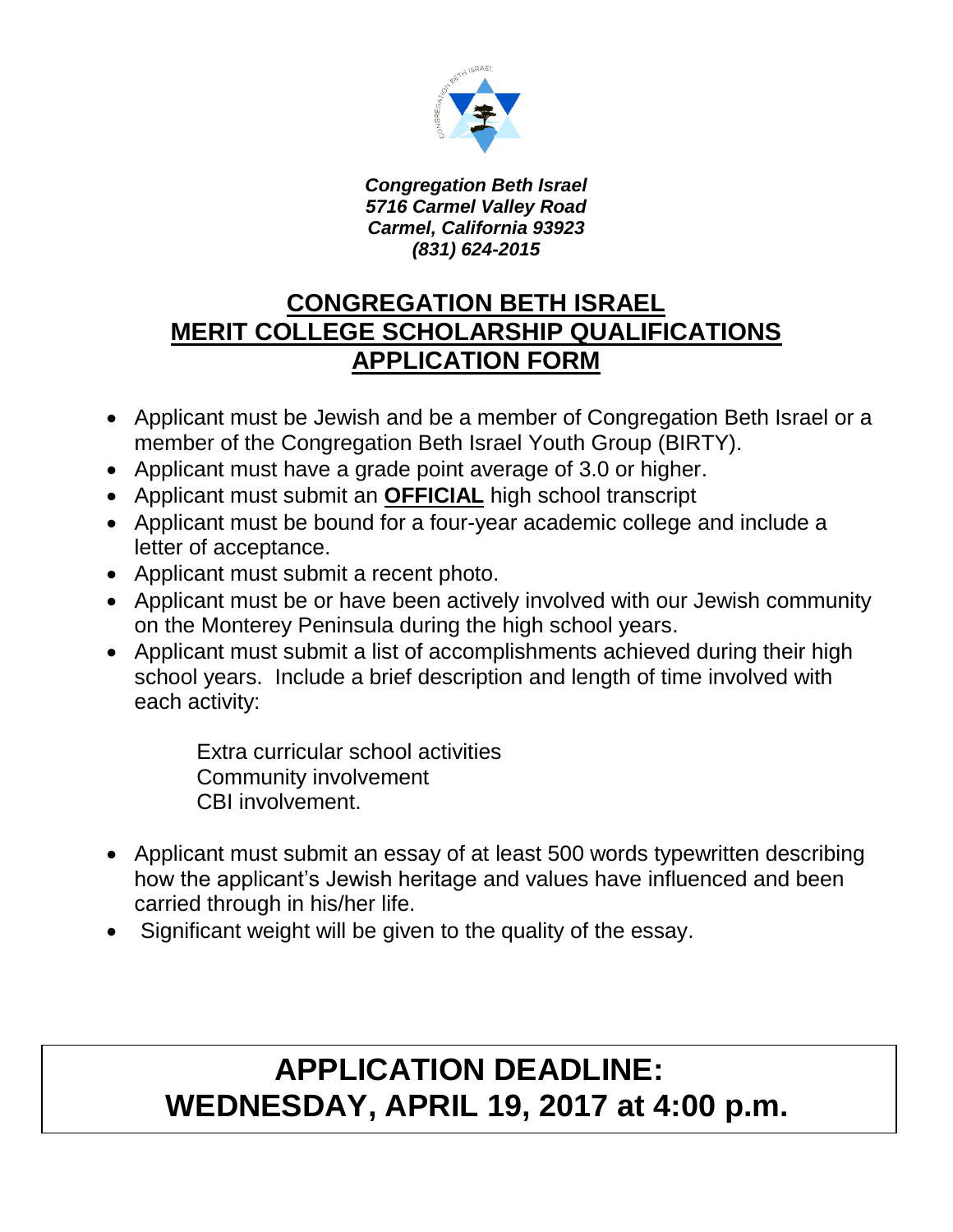

*Congregation Beth Israel 5716 Carmel Valley Road Carmel, California 93923 (831) 624-2015*

## **CONGREGATION BETH ISRAEL MERIT COLLEGE SCHOLARSHIP QUALIFICATIONS APPLICATION FORM**

- Applicant must be Jewish and be a member of Congregation Beth Israel or a member of the Congregation Beth Israel Youth Group (BIRTY).
- Applicant must have a grade point average of 3.0 or higher.
- Applicant must submit an **OFFICIAL** high school transcript
- Applicant must be bound for a four-year academic college and include a letter of acceptance.
- Applicant must submit a recent photo.
- Applicant must be or have been actively involved with our Jewish community on the Monterey Peninsula during the high school years.
- Applicant must submit a list of accomplishments achieved during their high school years. Include a brief description and length of time involved with each activity:

 Extra curricular school activities Community involvement CBI involvement.

- Applicant must submit an essay of at least 500 words typewritten describing how the applicant's Jewish heritage and values have influenced and been carried through in his/her life.
- Significant weight will be given to the quality of the essay.

## **APPLICATION DEADLINE: WEDNESDAY, APRIL 19, 2017 at 4:00 p.m.**